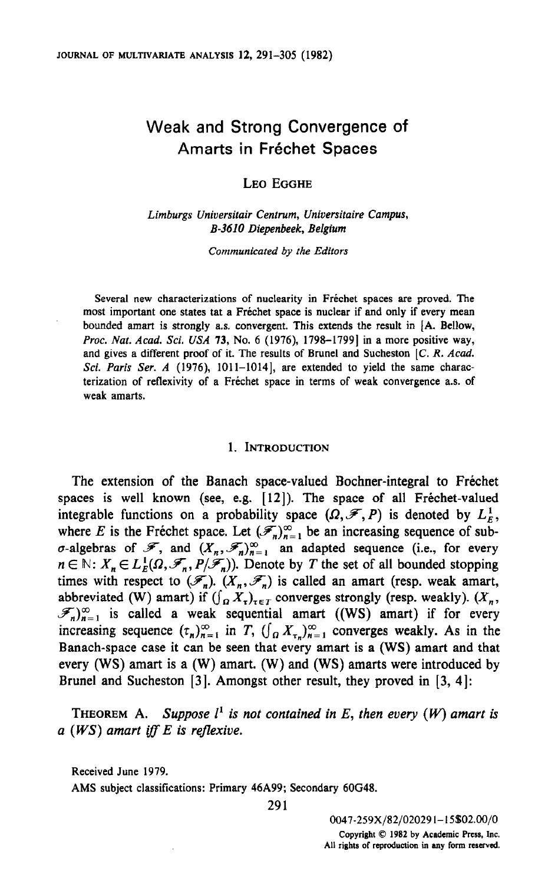# Weak and Strong Convergence of Amarts in Fréchet Spaces

# LEO EGGHE

Limburgs Universitair Centrum, Universitaire Campus, B-3610 Diepenbeek, Belgium

Communicated by the Editors

Several new characterizations of nuclearity in Frechet spaces are proved. The most important one states tat a Fréchet space is nuclear if and only if every mean bounded amart is strongly as. convergent. This extends the result in [A. Bellow, Proc. Nat. Acad. Sci. USA 73, No. 6 (1976), 1798-1799] in a more positive way, and gives a different proof of it. The results of Brunel and Sucheston [C. R. Acad. Sci. Paris Ser.  $A$  (1976), 1011-1014], are extended to yield the same characterization of reflexivity of a Frechet space in terms of weak convergence a.s. of weak amarts.

#### 1. INTRODUCTION

The extension of the Banach space-valued Bochner-integral to Frechet spaces is well known (see, e.g. [12]). The space of all Fréchet-valued integrable functions on a probability space  $(\Omega, \mathcal{F}, P)$  is denoted by  $L_F^1$ , where E is the Frechet space. Let  $(\mathscr{F}_n)_{n=1}^{\infty}$  be an increasing sequence of sub- $\sigma$ -algebras of  $\mathscr{F}$ , and  $(X_n, \mathscr{F}_n)_{n=1}^{\infty}$  an adapted sequence (i.e., for every  $n \in \mathbb{N}$ :  $X_n \in L_E^1(\Omega, \mathcal{F}_n, P/\mathcal{F}_n)$ . Denote by T the set of all bounded stopping times with respect to  $(\mathscr{F}_n)$ .  $(X_n, \mathscr{F}_n)$  is called an amart (resp. weak amart, abbreviated (W) amart) if  $(\int_{\Omega} X_{\tau})_{\tau \in T}$  converges strongly (resp. weakly).  $(X_n,$  $\mathscr{F}_n|_{n=1}^{\infty}$  is called a weak sequential amart ((WS) amart) if for every increasing sequence  $(\tau_n)_{n=1}^{\infty}$  in T,  $(\int_{\Omega} X_{\tau_n})_{n=1}^{\infty}$  converges weakly. As in the Banach-space case it can be seen that every amart is a (WS) amart and that every (WS) amart is a (W) amart. (W) and (WS) amarts were introduced by Brunel and Sucheston [3]. Amongst other result, they proved in [3, 4]:

 $T$  is not contained in E, then every (S) is not contained in E, then every (W) amart is not contained in E, then expected in E, then expected in E, then expected in E, then expected in E, then expected in E, then expecte  $\sum_{i=1}^{\infty}$  and  $\sum_{i=1}^{\infty}$  is reflective.

Received June 1979.

AMS subject classifications: Primary 46A99; Secondary 60G48.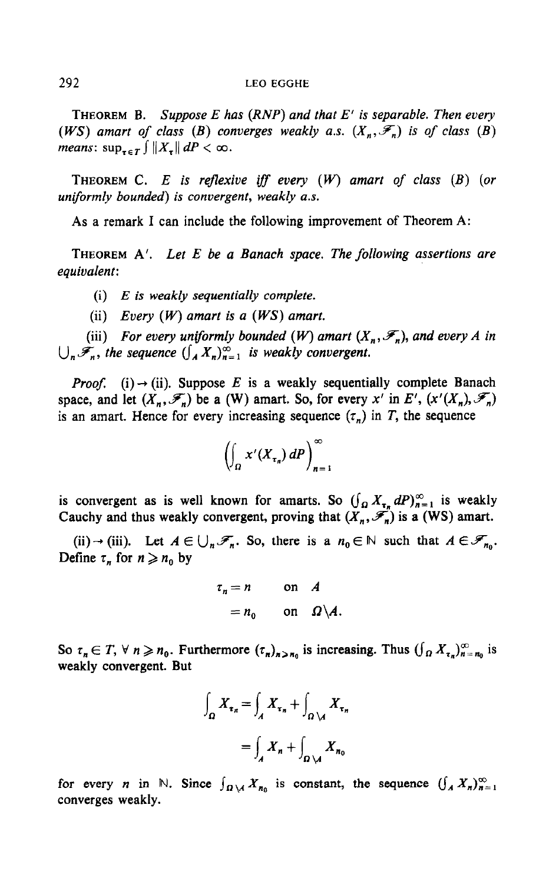THEOREM B. Suppose E has  $(RNP)$  and that E' is separable. Then every (WS) amart of class (B) converges weakly a.s.  $(X_n, \mathcal{F}_n)$  is of class (B) means:  $\sup_{\tau \in T} \int ||X_{\tau}|| \, dP < \infty$ .

THEOREM C. E is reflexive iff every  $(W)$  amart of class  $(B)$  (or uniformly bounded) is convergent, weakly a.s.

As a remark I can include the following improvement of Theorem A:

THEOREM  $A'$ . Let E be a Banach space. The following assertions are equivalent:

- (i)  $E$  is weakly sequentially complete.
- (ii) Every  $(W)$  amart is a  $(WS)$  amart.

(iii) For every uniformly bounded  $(W)$  amart  $(X_n, \mathcal{F}_n)$ , and every A in  $\bigcup_{n} \mathcal{F}_n$ , the sequence  $\bigcup_{n} X_n \big)_{n=1}^{\infty}$  is weakly convergent.

*Proof.* (i)  $\rightarrow$  (ii). Suppose E is a weakly sequentially complete Banach space, and let  $(X_n, \mathcal{F}_n)$  be a (W) amart. So, for every x' in E',  $(x'(X_n), \mathcal{F}_n)$ is an amart. Hence for every increasing sequence  $(\tau_n)$  in T, the sequence

$$
\left(\int_{\Omega} x'(X_{\tau_n})\,dP\right)_{n=1}^{\infty}
$$

is convergent as is well known for amarts. So  $(\int_{\Omega} X_{\tau_n} dP)_{n=1}^{\infty}$  is weakly Cauchy and thus weakly convergent, proving that  $(X_n, \mathcal{F}_n)$  is a (WS) amart.

(ii)  $\rightarrow$  (iii). Let  $A \in \bigcup_n \mathcal{F}_n$ . So, there is a  $n_0 \in \mathbb{N}$  such that  $A \in \mathcal{F}_{n_0}$ . Define  $\tau_n$  for  $n \geq n_0$  by

$$
\tau_n = n \quad \text{on} \quad A
$$

$$
= n_0 \quad \text{on} \quad \Omega \backslash A.
$$

So  $\tau_n \in T$ ,  $\forall n \geq n_0$ . Furthermore  $(\tau_n)_{n > n_0}$  is increasing. Thus  $(\int_{\Omega} X_{\tau_n})_{n = n_0}^{\infty}$  is weakly convergent. But

$$
\int_{\Omega} X_{\tau_n} = \int_A X_{\tau_n} + \int_{\Omega \setminus A} X_{\tau_n}
$$

$$
= \int_A X_n + \int_{\Omega \setminus A} X_{\tau_0}
$$

for every *n* in N. Since  $\int_{\Omega \setminus A} X_{n_0}$  is constant, the sequence  $(\int_A X_n)_{n=1}^{\infty}$ converges weakly.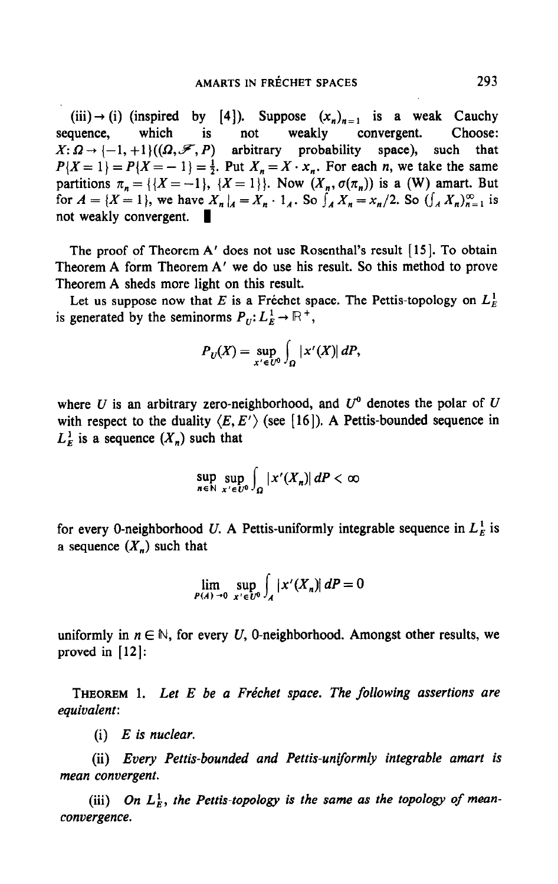(iii)  $\rightarrow$  (i) (inspired by [4]). Suppose  $(x_n)_{n=1}$  is a weak Cauchy sequence, which is not weakly convergent. Choose:  $X: \Omega \to \{-1, +1\}((\Omega, \mathcal{F}, P)$  arbitrary probability space), such that  $P{X = 1} = P{X = -1} = \frac{1}{2}$ . Put  $X_n = X \cdot x_n$ . For each *n*, we take the same partitions  $\pi_n = \{ \{X = -1\}, \{X = 1\} \}$ . Now  $(X_n, \sigma(\pi_n))$  is a (W) amart. But for  $A = \{X = 1\}$ , we have  $X_n|_A = X_n \cdot 1_A$ . So  $\int_A X_n = x_n/2$ . So  $(\int_A X_n)_{n=1}^{\infty}$  is not weakly convergent. 1

The proof of Theorem A' does not use Rosenthal's result [15]. To obtain Theorem A form Theorem A' we do use his result. So this method to prove Theorem A sheds more light on this result.

Let us suppose now that E is a Fréchet space. The Pettis-topology on  $L<sub>E</sub><sup>1</sup>$ is generated by the seminorms  $P_U: L^1_R \to \mathbb{R}^+,$ 

$$
P_U(X) = \sup_{x' \in U^0} \int_{\Omega} |x'(X)| dP,
$$

where U is an arbitrary zero-neighborhood, and  $U^0$  denotes the polar of U with respect to the duality  $\langle E, E' \rangle$  (see [16]). A Pettis-bounded sequence in  $L_F^1$  is a sequence  $(X_n)$  such that

$$
\sup_{n\in\mathbb{N}}\sup_{x'\in U^0}\int_{\Omega}|x'(X_n)|\,dP<\infty
$$

for every 0-neighborhood U. A Pettis-uniformly integrable sequence in  $L_E^1$  is a sequence  $(X_n)$  such that

$$
\lim_{P(A) \to 0} \sup_{x' \in U^0} \int_A |x'(X_n)| \, dP = 0
$$

uniformly in  $n \in \mathbb{N}$ , for every U, O-neighborhood. Amongst other results, we proved in [12]:

THEOREM 1. Let  $E$  be a Fréchet space. The following assertions are equivalent:

(i)  $E$  is nuclear.

(ii) Every Pettis-bounded and Pettis-uniformly integrable amart is mean convergent.

(iii) On Li, the Pettis-topology is the same as the topology of mean- $\mu$  convergence  $\sigma$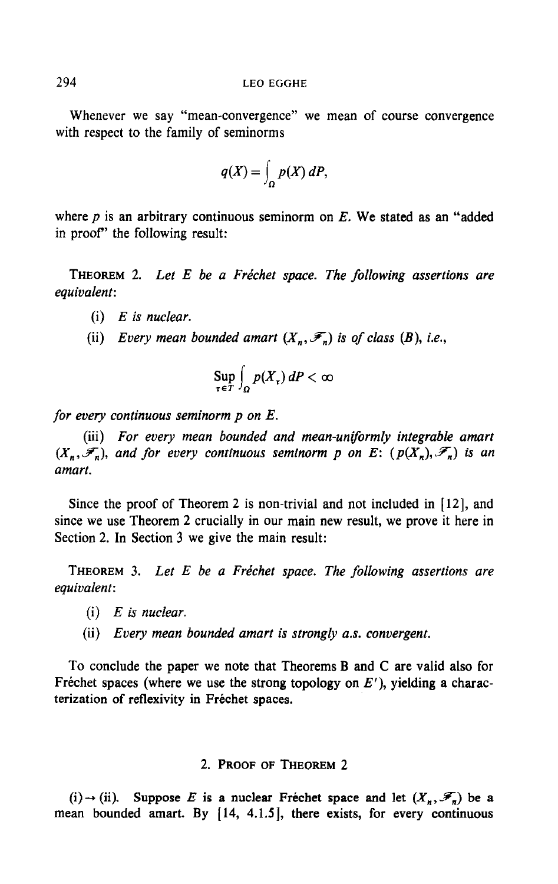Whenever we say "mean-convergence" we mean of course convergence with respect to the family of seminorms

$$
q(X) = \int_{\Omega} p(X) \, dP,
$$

where  $p$  is an arbitrary continuous seminorm on  $E$ . We stated as an "added" in proof" the following result:

THEOREM 2. Let  $E$  be a Fréchet space. The following assertions are equivalent:

- $(i)$  E is nuclear.
- (ii) Every mean bounded amart  $(X_n, \mathcal{F}_n)$  is of class  $(B)$ , i.e.,

$$
\sup_{\tau \in T} \int_{\Omega} p(X_{\tau}) \, dP < \infty
$$

for every continuous seminorm  $p$  on  $E$ .

(iii) For every mean bounded and mean-uniformly integrable amart  $(X_n, \mathcal{F}_n)$ , and for every continuous seminorm p on E:  $(p(X_n), \mathcal{F}_n)$  is an amart.

Since the proof of Theorem 2 is non-trivial and not included in  $[12]$ , and since we use Theorem 2 crucially in our main new result, we prove it here in Section 2. In Section 3 we give the main result:

THEOREM 3. Let  $E$  be a Fréchet space. The following assertions are equivalent:

- $(i)$  E is nuclear.
- (ii) Every mean bounded amart is strongly a.s. convergent.

To conclude the paper we note that Theorems B and C are valid also for Fréchet spaces (where we use the strong topology on  $E'$ ), yielding a characterization of reflexivity in Fréchet spaces.

## 2. PROOF OF THEOREM 2

 $\langle \cdot \rangle$  - (ii). Suppose E is a nuclear Frequency space and let  $\tau$ (1)  $\rightarrow$  (ii). Suppose E is a nuclear ricclict space and let  $(A_n, \mathcal{F}_n)$  be a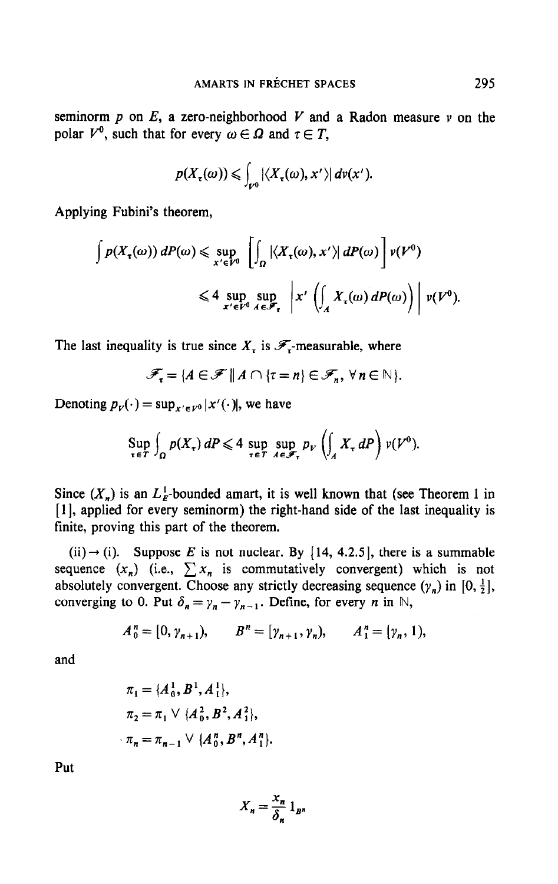seminorm  $p$  on  $E$ , a zero-neighborhood  $V$  and a Radon measure  $v$  on the polar  $V^0$ , such that for every  $\omega \in \Omega$  and  $\tau \in T$ ,

$$
p(X_{\tau}(\omega)) \leqslant \int_{V^0} |\langle X_{\tau}(\omega), x' \rangle| d\nu(x').
$$

Applying Fubini's theorem,

$$
\int p(X_{\tau}(\omega)) dP(\omega) \leq \sup_{x' \in V^0} \left[ \int_{\Omega} |\langle X_{\tau}(\omega), x' \rangle| dP(\omega) \right] v(V^0)
$$
  

$$
\leq 4 \sup_{x' \in V^0} \sup_{A \in \mathscr{F}_{\tau}} \left| x' \left( \int_{A} X_{\tau}(\omega) dP(\omega) \right) \right| v(V^0)
$$

The last inequality is true since  $X<sub>r</sub>$  is  $\mathscr{F}<sub>r</sub>$ -measurable, where

$$
\mathscr{F}_{\tau} = \{ A \in \mathscr{F} \mid \mid A \cap \{ \tau = n \} \in \mathscr{F}_n, \ \forall n \in \mathbb{N} \}.
$$

Denoting  $p_V(\cdot) = \sup_{x' \in V^0} |x'(\cdot)|$ , we have

$$
\sup_{\tau \in T} \int_{\Omega} p(X_{\tau}) dP \leqslant 4 \sup_{\tau \in T} \sup_{A \in \mathscr{F}_{\tau}} p_{\nu} \left( \int_{A} X_{\tau} dP \right) \nu(V^{0}).
$$

Since  $(X_n)$  is an  $L_F^1$ -bounded amart, it is well known that (see Theorem 1 in [1], applied for every seminorm) the right-hand side of the last inequality is finite, proving this part of the theorem.

(ii)  $\rightarrow$  (i). Suppose E is not nuclear. By [14, 4.2.5], there is a summable sequence  $(x_n)$  (i.e.,  $\sum x_n$  is commutatively convergent) which is not absolutely convergent. Choose any strictly decreasing sequence  $(\gamma_n)$  in  $[0, \frac{1}{2}]$ , converging to 0. Put  $\delta_n = \gamma_n - \gamma_{n-1}$ . Define, for every *n* in N,

$$
A_0^n = [0, \gamma_{n+1}), \qquad B^n = [\gamma_{n+1}, \gamma_n), \qquad A_1^n = [\gamma_n, 1),
$$

and

$$
\pi_1 = \{A_0^1, B^1, A_1^1\},
$$
  
\n
$$
\pi_2 = \pi_1 \vee \{A_0^2, B^2, A_1^2\},
$$
  
\n
$$
\pi_n = \pi_{n-1} \vee \{A_0^n, B^n, A_1^n\}
$$

Put

$$
X_n = \frac{x_n}{\delta_n} 1_{B^n}
$$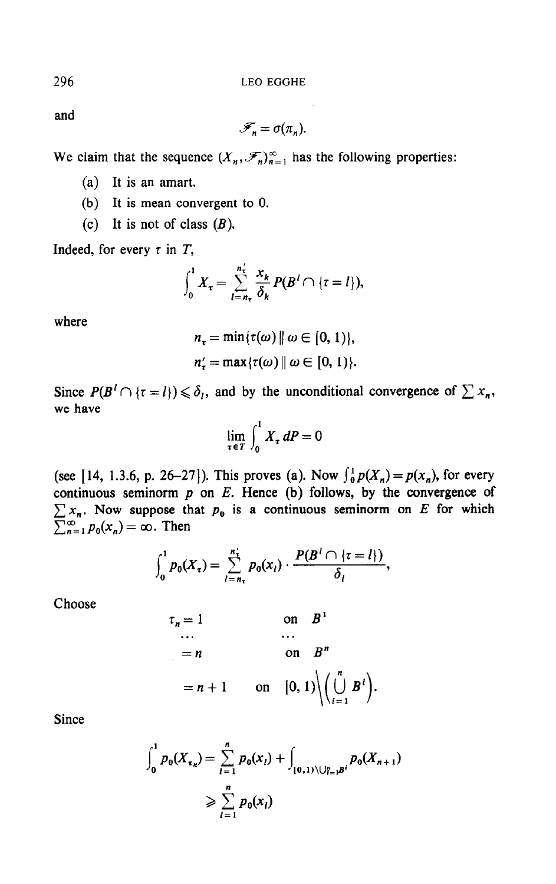and

$$
\mathscr{F}_n = \sigma(\pi_n).
$$

We claim that the sequence  $(X_n, \mathscr{F}_n)_{n=1}^{\infty}$  has the following properties:

- (a) It is an amart.
- (b) It is mean convergent to 0.
- (c) It is not of class  $(B)$ .

Indeed, for every  $\tau$  in  $T$ ,

$$
\int_0^1 X_\tau = \sum_{l=n_\tau}^{n'_\tau} \frac{x_k}{\delta_k} P(B^l \cap {\tau = l}),
$$

where

$$
n_{\tau} = \min{\tau(\omega) \mid \omega \in [0, 1)},
$$
  

$$
n_{\tau}' = \max{\tau(\omega) \mid \omega \in [0, 1)}.
$$

Since  $P(B^{\dagger} \cap {\tau = l}) \leq \delta_l$ , and by the unconditional convergence of  $\sum x_n$ , we have 1

$$
\lim_{\tau \in T} \int_0^1 X_{\tau} \, dP = 0
$$

(see [14, 1.3.6, p. 26–27]). This proves (a). Now  $\int_0^1 p(X_n) = p(x_n)$ , for every continuous seminorm  $p$  on  $E$ . Hence (b) follows, by the convergence of  $\sum x_i$ . Now suppose that p<sub>o</sub> is a continuous seminorm on E for which  $\sum_{n=1}^{\infty}$  = let  $\sum_{n=1}^{\infty}$  Then

$$
\int_0^1 p_0(X_{\tau}) = \sum_{l=n_{\tau}}^{n'_{\tau}} p_0(x_l) \cdot \frac{P(B^l \cap {\tau = l})}{\delta_l},
$$

Choose

$$
\tau_n = 1 \quad \text{on} \quad B^1
$$
  
\n...  
\n= n \quad \text{on} \quad B^n  
\n= n + 1 \quad \text{on} \quad [0, 1) \Big\backslash \left( \bigcup\_{i=1}^n B^i \right).

Since

$$
\int_0^1 p_0(X_{\tau_n}) = \sum_{l=1}^n p_0(x_l) + \int_{[0,1)\setminus \bigcup_{l=1}^n B^l} p_0(X_{n+1})
$$
  
\n
$$
\geqslant \sum_{l=1}^n p_0(x_l)
$$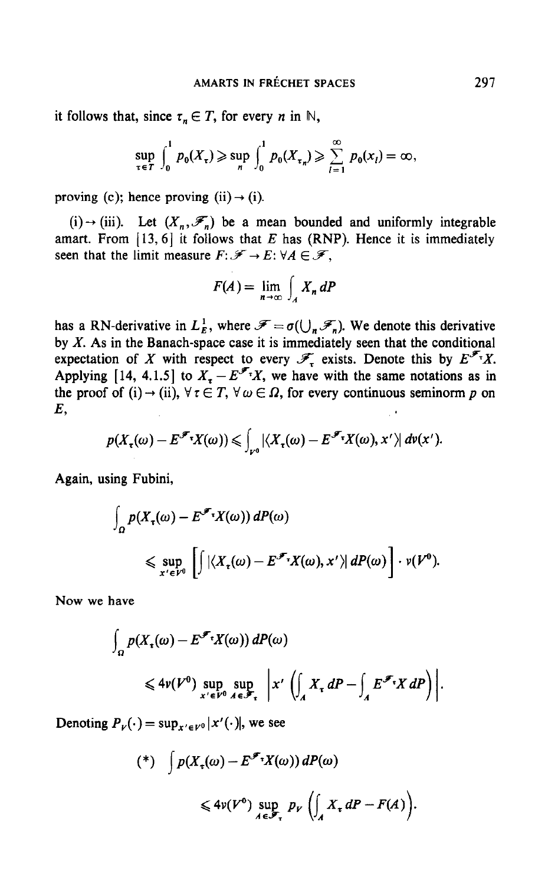it follows that, since  $\tau_n \in T$ , for every *n* in N,

$$
\sup_{\tau \in T} \int_0^1 p_0(X_{\tau}) \geqslant \sup_{n} \int_0^1 p_0(X_{\tau_n}) \geqslant \sum_{l=1}^{\infty} p_0(x_l) = \infty,
$$

proving (c); hence proving (ii)  $\rightarrow$  (i).

(i)  $\rightarrow$  (iii). Let  $(X_n, \mathcal{F}_n)$  be a mean bounded and uniformly integrable amart. From  $[13, 6]$  it follows that E has (RNP). Hence it is immediately seen that the limit measure  $F: \mathscr{F} \to E: \forall A \in \mathscr{F}$ ,

$$
F(A) = \lim_{n \to \infty} \int_A X_n \, dP
$$

has a RN-derivative in  $L_E^1$ , where  $\mathscr{F} = \sigma(\bigcup_n \mathscr{F}_n)$ . We denote this derivative by  $X$ . As in the Banach-space case it is immediately seen that the conditional expectation of X with respect to every  $\mathscr{F}_{\tau}$  exists. Denote this by  $E^{\mathscr{F}_{\tau}}X$ . Applying [14, 4.1.5] to  $X = E^{\mathscr{F}_T}X$ , we have with the same notations as in the proof of (i)  $\rightarrow$  (ii),  $\forall \tau \in T$ ,  $\forall \omega \in \Omega$ , for every continuous seminorm p on E,

$$
p(X_{\tau}(\omega)-E^{\mathscr{F}_{\tau}}X(\omega))\leqslant \int_{V^0}|\langle X_{\tau}(\omega)-E^{\mathscr{F}_{\tau}}X(\omega),x'\rangle| d\nu(x').
$$

Again, using Fubini,

$$
\int_{\Omega} p(X_{\tau}(\omega) - E^{\mathscr{F}_{\tau}} X(\omega)) dP(\omega)
$$
\n
$$
\leq \sup_{x' \in V^{0}} \left[ \int |\langle X_{\tau}(\omega) - E^{\mathscr{F}_{\tau}} X(\omega), x' \rangle| dP(\omega) \right] \cdot v(V^{0}).
$$

Now we have

$$
\int_{\Omega} p(X_{\tau}(\omega) - E^{\mathscr{F}_{\tau}} X(\omega)) dP(\omega)
$$
  
\$\leqslant 4\nu(V^{0}) \sup\_{x' \in V^{0}} \sup\_{A \in \mathscr{F}\_{\tau}} |x' \left( \int\_{A} X\_{\tau} dP - \int\_{A} E^{\mathscr{F}\_{\tau}} X dP \right) ].

Denoting  $P_v(\cdot) = \sup_{x' \in V^0} |x'(\cdot)|$ , we see

$$
(*) \quad \int p(X_{\tau}(\omega) - E^{\mathscr{F}\tau} X(\omega)) dP(\omega)
$$
  

$$
\leq 4\nu(V^{0}) \sup_{A \in \mathscr{F}_{\tau}} p_{V} \left( \int_{A} X_{\tau} dP - F(A) \right).
$$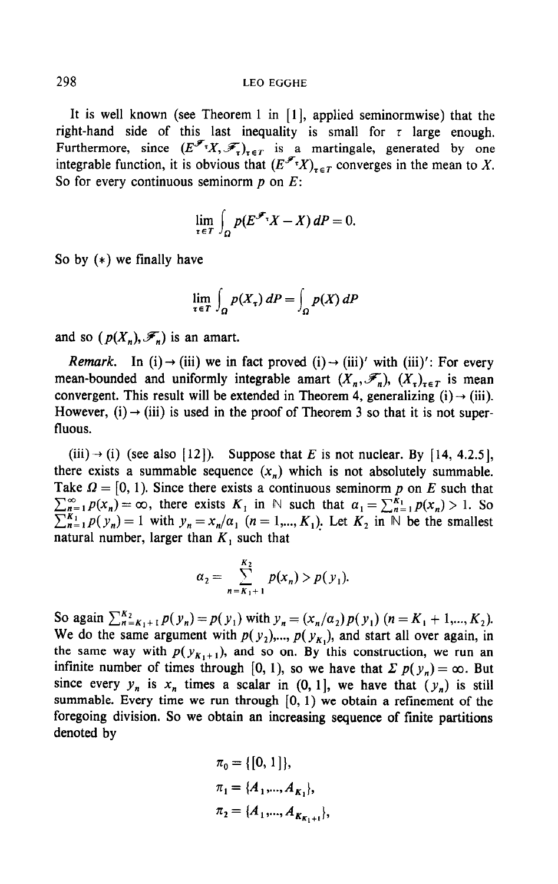It is well known (see Theorem 1 in  $[1]$ , applied seminormwise) that the right-hand side of this last inequality is small for  $\tau$  large enough. Furthermore, since  $(E^{\mathscr{F}_{T}}X, \mathscr{F}_{T})_{T \in T}$  is a martingale, generated by one integrable function, it is obvious that  $(E^{\mathscr{F}_{T}}X)_{T\in\mathcal{T}}$  converges in the mean to X. So for every continuous seminorm  $p$  on  $E$ :

$$
\lim_{\tau \in T} \int_{\Omega} p(E^{\mathscr{F}_{\tau}} X - X) dP = 0.
$$

So by (\*) we finally have

$$
\lim_{\tau \in T} \int_{\Omega} p(X_{\tau}) \, dP = \int_{\Omega} p(X) \, dP
$$

and so ( $p(X_n), \mathcal{F}_n$ ) is an amart.

*Remark.* In (i)  $\rightarrow$  (iii) we in fact proved (i)  $\rightarrow$  (iii)' with (iii)': For every mean-bounded and uniformly integrable amart  $(X_n, \mathscr{F}_n)$ ,  $(X_r)_{r \in \mathcal{T}}$  is mean convergent. This result will be extended in Theorem 4, generalizing  $(i) \rightarrow (iii)$ . However, (i)  $\rightarrow$  (iii) is used in the proof of Theorem 3 so that it is not superfluous.

(iii)  $\rightarrow$  (i) (see also [12]). Suppose that E is not nuclear. By [14, 4.2.5], there exists a summable sequence  $(x_n)$  which is not absolutely summable. Take  $\Omega = [0, 1)$ . Since there exists a continuous seminorm p on E such that  $\sum_{n=1}^{\infty} p(x_n) = \infty$ , there exists  $K_1$  in N such that  $\alpha_1 = \sum_{n=1}^{K_1} p(x_n) > 1$ . So  $\sum_{n=1}^{K_1} p(y_n) = 1$  with  $y_n = x_n/\alpha_1$   $(n = 1, ..., K_1)$ . Let  $K_2$  in N be the smallest natural number, larger than  $K_1$  such that

$$
a_2 = \sum_{n=K_1+1}^{K_2} p(x_n) > p(y_1).
$$

So again  $\sum_{n=K_1+1}^{K_2} p(y_n) = p(y_1)$  with  $y_n = (x_n/a_2)p(y_1)$   $(n = K_1 + 1, ..., K_2)$ . We do the same argument with  $p(x)$ ,  $p(x)$ ,  $p(x)$ , and start all over any in  $\sum_{i=1}^{n}$ ,  $t_1, t_2, t_3, t_4, t_5, t_6, t_7, t_8, t_9, t_9, t_{10}$ , where  $\alpha$  is constructed and  $\alpha$  or again, we recover the same way with  $p(y_{K_1+1})$ , and so on. By this construction, we run an infinite number of times through [0, 1], so we have that  $\sum p(y_n) = \infty$ . But since events of three enough  $[0, 1)$ , so we have that  $\mathcal{L} p(y_n) = \infty$ . But summable. Every  $\mu_n$  is  $\mu_n$  times a settlet in (0, 1), we have that  $(\mu_n)$  is still summable. Every time we run through  $[0, 1)$  we obtain a refinement of the foregoing division. So we obtain an increasing sequence of finite partitions denoted by

$$
\pi_0 = \{ [0, 1] \},
$$
  
\n
$$
\pi_1 = \{A_1, ..., A_{K_1} \},
$$
  
\n
$$
\pi_2 = \{A_1, ..., A_{K_{K_1+1}} \},
$$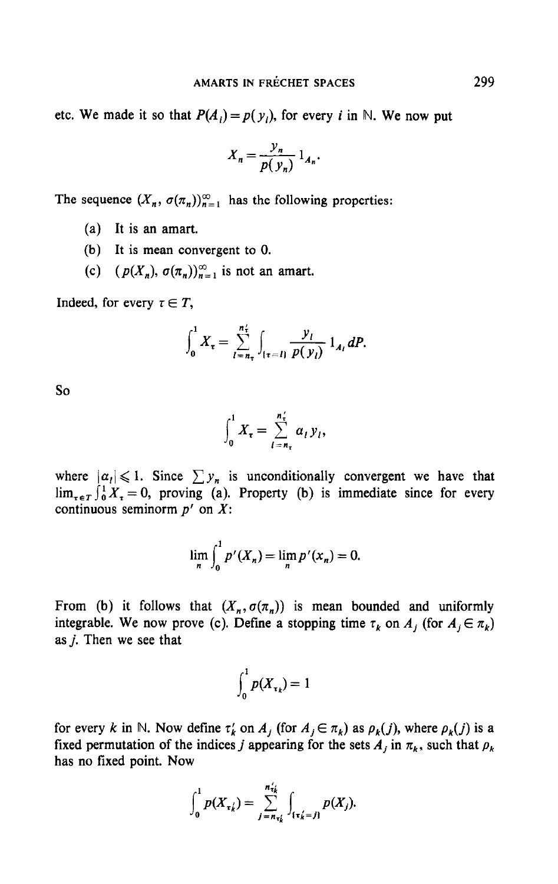etc. We made it so that  $P(A_i) = p(y_i)$ , for every *i* in N. We now put

$$
X_n = \frac{y_n}{p(y_n)} 1_{A_n}.
$$

The sequence  $(X_n, \sigma(\pi_n))_{n=1}^{\infty}$  has the following properties:

- (a) It is an amart.
- (b) It is mean convergent to 0.
- (c)  $(p(X_n), \sigma(\pi_n))_{n=1}^{\infty}$  is not an amart.

Indeed, for every  $\tau \in T$ ,

$$
\int_0^1 X_{\tau} = \sum_{l=n_{\tau}}^{n_{\tau}^2} \int_{\{\tau = l\}} \frac{y_l}{p(y_l)} 1_{A_l} dP.
$$

so

$$
\int_0^1 X_\tau = \sum_{l=n_\tau}^{n'_\tau} \alpha_l y_l,
$$

where  $|a_1| \leq 1$ . Since  $\sum y_n$  is unconditionally convergent we have that  $\lim_{x \in T} \int_0^1 X_x = 0$ , proving (a). Property (b) is immediate since for every continuous seminorm  $p'$  on  $X$ :

$$
\lim_{n} \int_{0}^{1} p'(X_{n}) = \lim_{n} p'(X_{n}) = 0.
$$

From (b) it follows that  $(X_n, \sigma(\pi_n))$  is mean bounded and uniformly integrable. We now prove (c). Define a stopping time  $\tau_k$  on  $A_j$  (for  $A_j \in \pi_k$ ) as j. Then we see that

$$
\int_0^1 p(X_{\tau_k}) = 1
$$

for every k in  $\mathcal{L}$  in  $\mathcal{L}$  as  $\mathcal{L}$  as  $\mathcal{L}$  is as Pk( j), where  $\mathcal{L}$ for every  $\kappa$  in we now define  $\iota_k$  on  $\Lambda_j$  (for  $\Lambda_j \subset \iota_k$ ) as  $p_k(j)$ , where  $p_k(j)$  is a fixed permutation of the indices *j* appearing for the sets  $A_j$  in  $\pi_k$ , such that  $\rho_k$  has no fixed point. Now

$$
\int_0^1 p(X_{\tau_k}) = \sum_{j=n_{\tau_k}}^{n_{\tau_k}} \int_{\{\tau_k'=j\}} p(X_j).
$$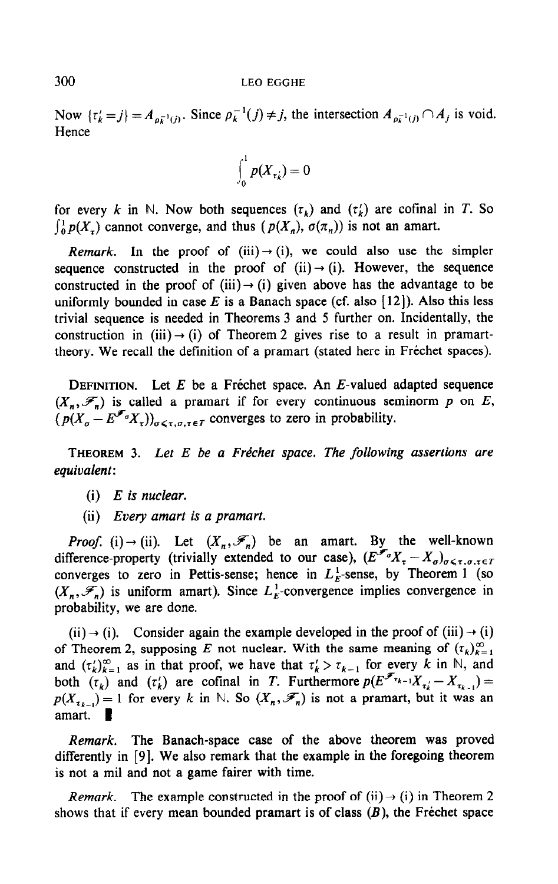Now  $\{\tau_k'=j\} = A_{\rho_k^{-1}(j)}$ . Since  $\rho_k^{-1}(j) \neq j$ , the intersection  $A_{\rho_k^{-1}(j)} \cap A_j$  is void. **Hence** 

$$
\int_0^1 p(X_{\tau_k}) = 0
$$

for every k in N. Now both sequences  $(\tau_k)$  and  $(\tau'_k)$  are cofinal in T. So  $\int_{0}^{1} p(X_{\tau})$  cannot converge, and thus  $(p(X_{n}), \sigma(\pi_{n}))$  is not an amart.

Remark. In the proof of (iii)  $\rightarrow$  (i), we could also use the simpler sequence constructed in the proof of (ii)  $\rightarrow$  (i). However, the sequence constructed in the proof of (iii) $\rightarrow$  (i) given above has the advantage to be uniformly bounded in case E is a Banach space (cf. also [12]). Also this less trivial sequence is needed in Theorems 3 and 5 further on. Incidentally, the construction in (iii)  $\rightarrow$  (i) of Theorem 2 gives rise to a result in pramarttheory. We recall the definition of a pramart (stated here in Frechet spaces).

DEFINITION. Let  $E$  be a Fréchet space. An  $E$ -valued adapted sequence  $(X_n, \mathcal{F}_n)$  is called a pramart if for every continuous seminorm p on E,  $(p(X_n - E^{\mathcal{F}_0}X_{\tau}))_{n \leq \tau, n, \tau \in T}$  converges to zero in probability.

THEOREM 3. Let  $E$  be a Fréchet space. The following assertions are equivalent:

- $(i)$  E is nuclear.
- (ii) Every amart is a pramart.

*Proof.* (i)  $\rightarrow$  (ii). Let  $(X_n, \mathcal{F}_n)$  be an amart. By the well-known difference-property (trivially extended to our case),  $(E^{\mathscr{F}_{\sigma}}X_{\tau}-X_{\sigma})_{\sigma\leq\tau,\sigma,\tau\in T}$ converges to zero in Pettis-sense; hence in  $L_E^1$ -sense, by Theorem 1 (so  $(X_n, \mathcal{F}_n)$  is uniform amart). Since  $L_F^1$ -convergence implies convergence in probability, we are done.

 $(ii) \rightarrow (i)$ . Consider again the example developed in the proof of  $(iii) \rightarrow (i)$ of Theorem 2, supposing E not nuclear. With the same meaning of  $(\tau_k)_{k=1}^{\infty}$ and  $(\tau_k)_{k=1}^{\infty}$  as in that proof, we have that  $\tau_k > \tau_{k-1}$  for every k in N, and both  $(\tau_k)$  and  $(\tau'_k)$  are cofinal in T. Furthermore  $p(E^{\mathscr{F}_{\tau_{k-1}}X_{\tau_{k-1}}}-X_{\tau_{k-1}})=$ point  $(\iota_k)$  and  $(\iota_k)$  are community for  $\iota_k$ , in the solution of  $p(x) = \iota_k$ ,  $\iota_k$ ,  $\iota_k$ ,  $\iota_k$ ,  $\iota_k$ ,  $\iota_k$ ,  $\iota_k$ ,  $\iota_k$ ,  $\iota_k$ ,  $\iota_k$ ,  $\iota_k$ ,  $\iota_k$ ,  $\iota_k$ ,  $\iota_k$ ,  $\iota_k$ ,  $\iota_k$ ,  $\iota_k$ ,  $\iota_k$ ,  $\$  $P^{(1)}\tau_{k-1} =$ 

Remark. The Banach-space case of the above theorem was proved  $\alpha$  in  $\beta$ . The Banach-space case of the above theorem was proved uniciently in  $[3]$ . We also remain that the  $\alpha$ 

 $\mathcal{L} = \mathcal{L} = \mathcal{L} = \mathcal{L} = \mathcal{L} = \mathcal{L} = \mathcal{L} = \mathcal{L} = \mathcal{L} = \mathcal{L} = \mathcal{L} = \mathcal{L} = \mathcal{L} = \mathcal{L} = \mathcal{L} = \mathcal{L} = \mathcal{L} = \mathcal{L} = \mathcal{L} = \mathcal{L} = \mathcal{L} = \mathcal{L} = \mathcal{L} = \mathcal{L} = \mathcal{L} = \mathcal{L} = \mathcal{L} = \mathcal{L} = \mathcal{L} = \mathcal{L} = \mathcal{L} = \mathcal$  $s$  kemark. The example constructed in the proof of  $(n) \rightarrow (1)$  in Theorem z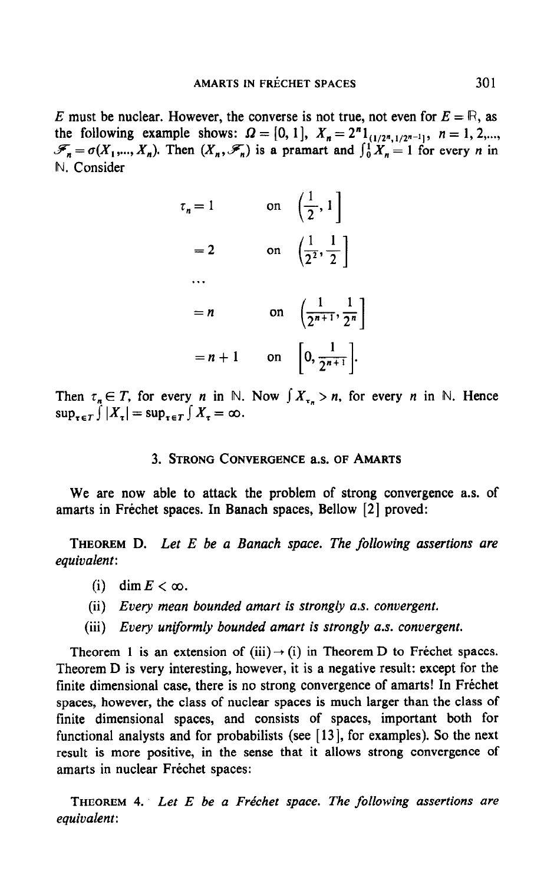E must be nuclear. However, the converse is not true, not even for  $E = \mathbb{R}$ , as the following example shows:  $\Omega = [0, 1], X_n = 2^n 1_{(1/2^n, 1/2^n-1)}, n = 1, 2, \ldots$  $\mathscr{F}_{n} = \sigma(X_{1},..., X_{n})$ . Then  $(X_{n},\mathscr{F}_{n})$  is a pramart and  $\int_{0}^{1} X_{n} = 1$  for every *n* in N. Consider

| $\tau_n=1$ | on $\left(\frac{1}{2}, 1\right)$                   |
|------------|----------------------------------------------------|
| $=2$       | on $\left(\frac{1}{2^2}, \frac{1}{2}\right)$       |
|            |                                                    |
| $= n$      | on $\left(\frac{1}{2^{n+1}}, \frac{1}{2^n}\right)$ |
| $= n + 1$  | on $\left 0, \frac{1}{2^{n+1}}\right $ .           |

Then  $\tau_n \in T$ , for every *n* in N. Now  $\int X_{\tau_n} > n$ , for every *n* in N. Hence  $\sup_{\tau \in T} \int |X_{\tau}| = \sup_{\tau \in T} \int X_{\tau} = \infty.$ 

# 3. STRONG CONVERGENCE as. OF AMARTS

We are now able to attack the problem of strong convergence as. of amarts in Fréchet spaces. In Banach spaces, Bellow [2] proved:

THEOREM D. Let  $E$  be a Banach space. The following assertions are equivalent:

- (i) dim  $E < \infty$ .
- (ii) Every mean bounded amart is strongly a.s. convergent.
- (iii) Every uniformly bounded amart is strongly a.s. convergent.

Theorem 1 is an extension of (iii) --) (i) in Theorem D to Frechet spaces. Theorem 1 is an exception of  $\lim_{x \to a} f(x)$  in Theorem D to Treenter spaces. Theorem D is very interesting, however, it is a negative result: except for the finite dimensional case, there is no strong convergence of amarts! In Fréchet spaces, however, the class of nuclear spaces is much larger than the class of spaces, nowever, the class of huchar spaces is much larger than the class of functional analysis and for  $\frac{1}{2}$  in  $\frac{1}{2}$  is the next  $\frac{1}{2}$  in  $\frac{1}{2}$  is the next  $\frac{1}{2}$  is the next  $\frac{1}{2}$  is the next  $\frac{1}{2}$  is the next  $\frac{1}{2}$  is the next  $\frac{1}{2}$  is the next  $\frac{1}{2}$  is functional analysts and for probabilists (see  $[13]$ , for examples). So the next result is more positive, in the sense that it allows strong convergence of amarts in nuclear Frechet spaces:

The following assertion assertions assertions assertions are following assertions are following assertions are  $\mathcal{L}$ equivalent<br>Equivalent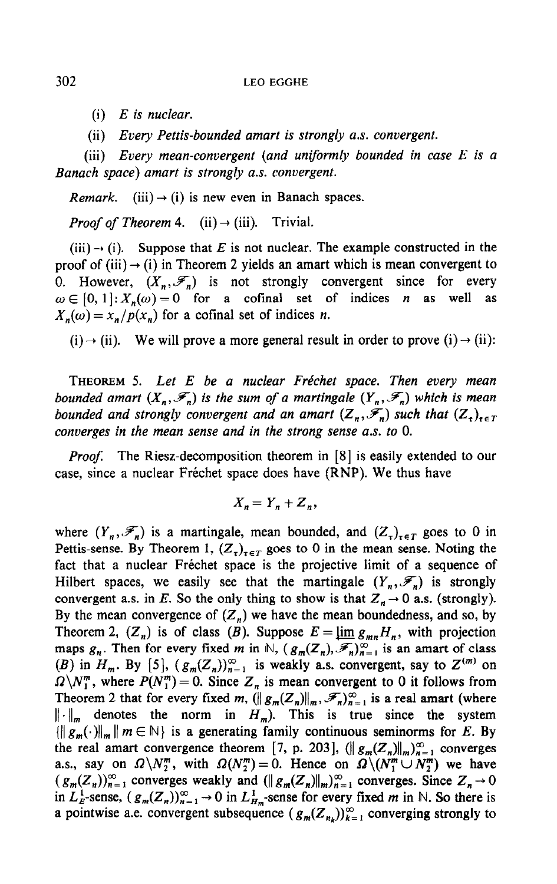- $(i)$  E is nuclear.
- (ii) Every Pettis-bounded amart is strongly a.s. convergent.

(iii) Every mean-convergent (and uniformly bounded in case E is a Banach space) amart is strongly a.s. convergent.

*Remark.* (iii)  $\rightarrow$  (i) is new even in Banach spaces.

*Proof of Theorem* 4. (ii)  $\rightarrow$  (iii). Trivial.

 $(iii) \rightarrow (i)$ . Suppose that E is not nuclear. The example constructed in the proof of (iii)  $\rightarrow$  (i) in Theorem 2 yields an amart which is mean convergent to 0. However,  $(X_n, \mathcal{F}_n)$  is not strongly convergent since for every  $\omega \in [0, 1] : X_n(\omega) = 0$  for a cofinal set of indices *n* as well as  $X_n(\omega) = x_n/p(x_n)$  for a cofinal set of indices *n*.

(i)  $\rightarrow$  (ii). We will prove a more general result in order to prove (i)  $\rightarrow$  (ii):

THEOREM 5. Let E be a nuclear Fréchet space. Then every mean bounded amart  $(X_n, \mathcal{F}_n)$  is the sum of a martingale  $(Y_n, \mathcal{F}_n)$  which is mean bounded and strongly convergent and an amart  $(Z_n, \mathscr{F}_n)$  such that  $(Z_n)_{n \in \mathbb{T}}$ converges in the mean sense and in the strong sense a.s. to 0.

**Proof.** The Riesz-decomposition theorem in [8] is easily extended to our case, since a nuclear Frechet space does have (RNP). We thus have

$$
X_n = Y_n + Z_n,
$$

where  $(Y_n, \mathcal{F}_n)$  is a martingale, mean bounded, and  $(Z_{\tau})_{\tau \in T}$  goes to 0 in Pettis-sense. By Theorem 1,  $(Z_{\tau})_{\tau \in T}$  goes to 0 in the mean sense. Noting the fact that a nuclear Frechet space is the projective limit of a sequence of Hilbert spaces, we easily see that the martingale  $(Y_n, \mathscr{F}_n)$  is strongly convergent a.s. in E. So the only thing to show is that  $Z_n \to 0$  a.s. (strongly). By the mean convergence of  $(Z_n)$  we have the mean boundedness, and so, by Theorem 2,  $(Z_n)$  is of class (B). Suppose  $E = \lim_{m \to \infty} g_{mn} H_n$ , with projection maps  $g_n$ . Then for every fixed m in N,  $(g_m(Z_n), \mathcal{F}_n)_{n=1}^{\infty}$  is an amart of class (B<sub>n</sub>) in 4,. By [5]  $(a \ (Z))^{\infty}$  is weakly a.s. convergent, say to  $Z^{(m)}$  on  $(B)$  in  $H$ . By [5]  $(a \ (Z))^{\infty}$  is weakly a.s. convergent, say to  $Z^{(m)}$  on  $(\nu)$  in  $u_m$ , by  $[\nu]$ ,  $(\chi_m(\omega_n))_{n=1}$  is weakly a.s. convergent, say to 2 con- $\Omega \backslash N_1^m$ , where  $P(N_1^m) = 0$ . Since  $Z_n$  is mean convergent to 0 it follows from Theorem 2 that for every fixed m,  $(||g_m(Z_n)||_m, \mathcal{F}_n)_{n=1}^{\infty}$  is a real amart (where  $||\cdot||_m$  denotes the norm in  $H_m$ ). This is true since the system  $\left\| \cdot \right\|_{m}$  denotes the norm in  $H_m$ ). This is the since the system  $\left\{ \|g_m\right\| \|m\in\mathbb{N} \}$  is a generating ramify continuous seminorms for E. by the real amart convergence theorem [7, p. 203],  $(\|g_m(Z_n)\|_m)_{n=1}^{\infty}$  converges a.s., say on  $\Omega \backslash N_2^m$ , with  $\Omega(N_2^m)=0$ . Hence on  $\Omega \backslash (N_1^m \cup N_2^m)$  we have  $(g_m(Z_n))_{n=1}^{\infty}$  converges weakly and  $(\|g_m(Z_n)\|_m)_{n=1}^{\infty}$  converges. Since  $Z_n \to 0$ in  $L_E^1$ -sense,  $(g_m(Z_n))_{n=1}^{\infty} \to 0$  in  $L_{H_m}^1$ -sense for every fixed m in N. So there is a pointwise a.e. convergent subsequence  $(g_m(Z_n))_{k=1}^{\infty}$  converging strongly to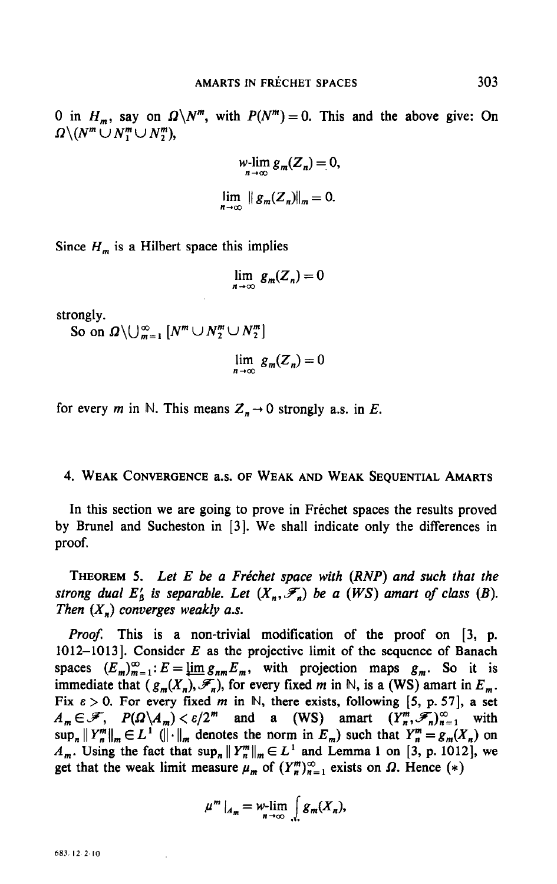0 in  $H_m$ , say on  $\Omega \backslash N^m$ , with  $P(N^m) = 0$ . This and the above give: On  $\Omega \backslash (N^m \cup N_1^m \cup N_2^m),$ 

$$
\begin{aligned}\n& w\text{-}\lim_{n\to\infty} g_m(Z_n) = 0, \\
& \lim_{n\to\infty} \|g_m(Z_n)\|_m = 0.\n\end{aligned}
$$

Since  $H_m$  is a Hilbert space this implies

$$
\lim_{n\to\infty} g_m(Z_n)=0
$$

strongly.

So on  $\Omega \setminus \bigcup_{m=1}^{\infty} [N^m \cup N_2^m \cup N_2^m]$ 

$$
\lim_{n \to \infty} g_m(Z_n) = 0
$$

for every m in N. This means  $Z_n \to 0$  strongly a.s. in E.

## 4. WEAK CONVERGENCE a.s. OF WEAK AND WEAK SEQUENTIAL AMARTS

In this section we are going to prove in Frechet spaces the results proved by Brunel and Sucheston in [3]. We shall indicate only the differences in proof.

THEOREM 5. Let E be a Fréchet space with  $(RNP)$  and such that the strong dual  $E'_\text{A}$  is separable. Let  $(X_n, \mathcal{F}_n)$  be a (WS) amart of class (B). Then  $(X_n)$  converges weakly a.s.

Proof. This is a non-trivial modification of the proof on [3, p. 1012-1013]. Consider  $E$  as the projective limit of the sequence of Banach  $\sum_{i=1}^{n}$ :  $\sum_{i=1}^{n}$  :  $\sum_{i=1}^{n}$  :  $\sum_{i=1}^{n}$  and the projection maps  $\sum_{i=1}^{n}$  is set of  $\sum_{i=1}^{n}$ spaces  $(\omega_m)_{m=1}$ ,  $\omega = \frac{\sinh(2\pi m)}{2m}$ , which projection maps  $S_m$ . So it is immediate that  $(g_m(X_n), \mathcal{F}_n)$ , for every fixed m in N, is a (WS) amart in  $E_m$ .<br>Fix  $\varepsilon > 0$ . For every fixed m in N, there exists, following [5, p. 57], a set  $A_m \in \mathscr{F}$ ,  $P(\Omega \setminus A_m) < \varepsilon/2^m$  and a (WS) amart  $(Y_n^m, \mathscr{F}_n)_{n=1}^{\infty}$  with  $\alpha_m \sim N$ , I ( $\alpha \sim \alpha_m$ ),  $\alpha_p \sim 1$ , and a (WD) amait  $\alpha_m \sim n/n = 1$ , with  $\sup_n ||u_n||_m \subset L$  (if  $||v_n||_m$  denotes the norm in  $L_m$ ) such that  $u_n = g_m(x_n)$  on  $A_m$ . Using the fact that  $\sup_n ||Y_n^m||_m \in L^1$  and Lemma 1 on [3, p. 1012], we get that the weak limit measure  $\mu_m$  of  $(Y_n^m)_{n=1}^{\infty}$  exists on  $\Omega$ . Hence  $(*)$ 

$$
\mu^m\big|_{A_m}=\mathop{\rm w-lim}\limits_{n\to\infty}\int\limits_{\Lambda}g_m(X_n),
$$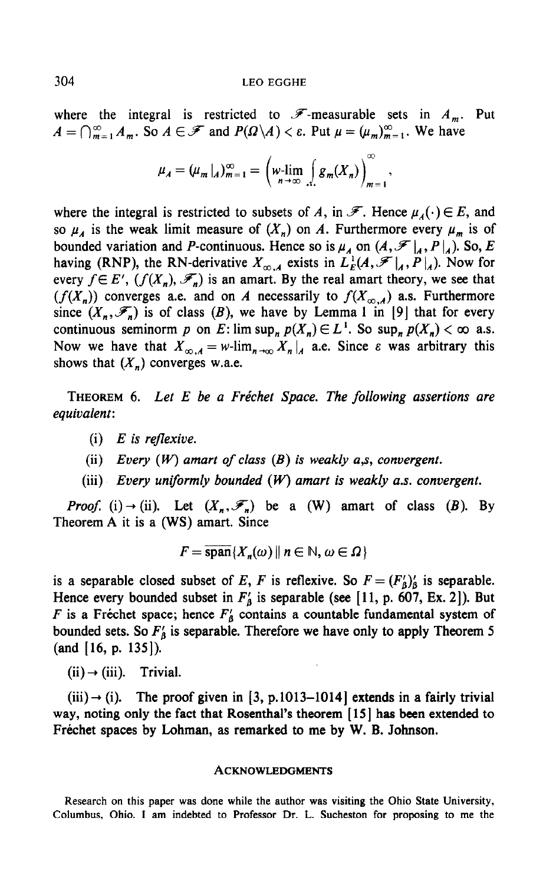where the integral is restricted to  $\mathscr{F}$ -measurable sets in  $A_m$ . Put  $A=\bigcap_{m=1}^{\infty}A_m$ . So  $A\in\mathscr{F}$  and  $P(\Omega\backslash A)<\varepsilon$ . Put  $\mu=(\mu_m)_{m=1}^{\infty}$ . We have

$$
\mu_A = (\mu_m|_A)_{m=1}^{\infty} = \left(\mu_r \lim_{n \to \infty} \int\limits_{\Omega} g_m(X_n)\right)_{m=1}^{\infty}.
$$

where the integral is restricted to subsets of A, in  $\mathscr{F}$ . Hence  $\mu_A(\cdot) \in E$ , and so  $\mu_A$  is the weak limit measure of  $(X_n)$  on A. Furthermore every  $\mu_m$  is of bounded variation and P-continuous. Hence so is  $\mu_A$  on  $(A, \mathscr{F}|_A, P|_A)$ . So, E having (RNP), the RN-derivative  $X_{\infty,A}$  exists in  $L_E^1(A,\mathscr{F}|_A, P|_A)$ . Now for every  $f \in E'$ ,  $(f(X_n), \mathcal{F}_n)$  is an amart. By the real amart theory, we see that  $(f(X_n))$  converges a.e. and on A necessarily to  $f(X_{\infty,A})$  a.s. Furthermore since  $(X_n, \mathcal{F}_n)$  is of class (B), we have by Lemma 1 in [9] that for every continuous seminorm p on E: lim sup<sub>n</sub>  $p(X_n) \in L^1$ . So sup<sub>n</sub>  $p(X_n) < \infty$  a.s. Now we have that  $X_{\infty,A} = w\text{-lim}_{n\to\infty} X_n|_A$  a.e. Since  $\varepsilon$  was arbitrary this shows that  $(X_n)$  converges w.a.e.

THEOREM 6. Let  $E$  be a Fréchet Space. The following assertions are equivalent:

 $(i)$  E is reflexive.

(ii) Every  $(W)$  amart of class  $(B)$  is weakly a,s, convergent.

(iii) Every uniformly bounded  $(W)$  amart is weakly a.s. convergent.

*Proof.* (i)  $\rightarrow$  (ii). Let  $(X_n, \mathcal{F}_n)$  be a (W) amart of class (B). By Theorem A it is a (WS) amart. Since

$$
F = \overline{\operatorname{span}}\{X_n(\omega) \mid n \in \mathbb{N}, \omega \in \Omega\}
$$

is a separable closed subset of E, F is reflexive. So  $F = (F_6')'_6$  is separable. Hence every bounded subset in  $F'_0$  is separable (see [11, p. 607, Ex. 2]). But F is a Fréchet space; hence  $F'_{\beta}$  contains a countable fundamental system of  $\mathbf{f}_1$  is a Figure operator  $\mathbf{f}_2$  is separable. Therefore we have only to apply Theorem 5  $(16, 135)$ 

 $(ii) \rightarrow (iii)$ . Trivial.

 $\langle \mathbf{u} \rangle$  (iii). The proof given in  $\mathbf{u}$ , p.1013-10141 extends in a fairly trivial in a fairly trivial in a fairly trivial in a fairly trivial in a fairly trivial in a fairly trivial in a fairly trivial in a fairly  $(m) \rightarrow (1)$ . The proof given in [3, p.1013–1014] extends in a fairly trivial way, noting only the fact that Rosenthal's theorem [15] has been extended to Fréchet spaces by Lohman, as remarked to me by W. B. Johnson.

#### **ACKNOWLEDGMENTS**

Research on this paper was done while the author was visiting the Ohio State University, Columbus, Ohio. I am indebted to Professor Dr. L. Sucheston for proposing to me the